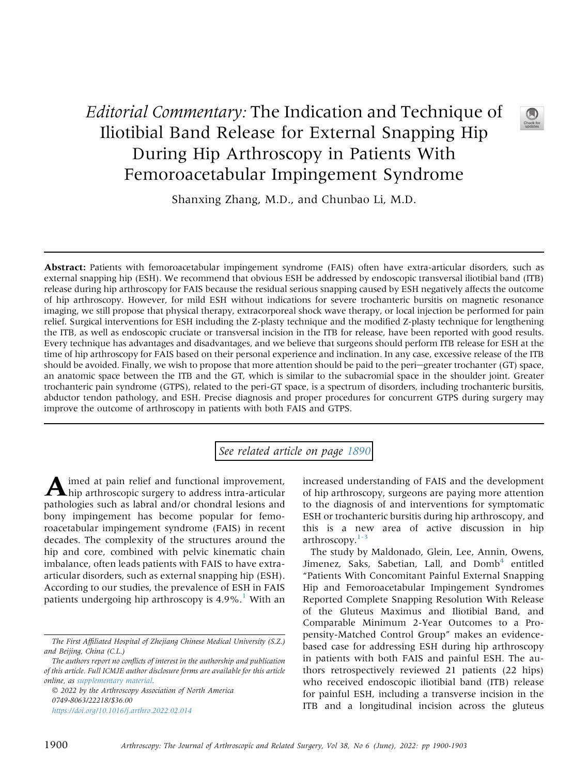## Editorial Commentary: The Indication and Technique of Iliotibial Band Release for External Snapping Hip During Hip Arthroscopy in Patients With Femoroacetabular Impingement Syndrome

Shanxing Zhang, M.D., and Chunbao Li, M.D.

Abstract: Patients with femoroacetabular impingement syndrome (FAIS) often have extra-articular disorders, such as external snapping hip (ESH). We recommend that obvious ESH be addressed by endoscopic transversal iliotibial band (ITB) release during hip arthroscopy for FAIS because the residual serious snapping caused by ESH negatively affects the outcome of hip arthroscopy. However, for mild ESH without indications for severe trochanteric bursitis on magnetic resonance imaging, we still propose that physical therapy, extracorporeal shock wave therapy, or local injection be performed for pain relief. Surgical interventions for ESH including the Z-plasty technique and the modified Z-plasty technique for lengthening the ITB, as well as endoscopic cruciate or transversal incision in the ITB for release, have been reported with good results. Every technique has advantages and disadvantages, and we believe that surgeons should perform ITB release for ESH at the time of hip arthroscopy for FAIS based on their personal experience and inclination. In any case, excessive release of the ITB should be avoided. Finally, we wish to propose that more attention should be paid to the peri-greater trochanter (GT) space, an anatomic space between the ITB and the GT, which is similar to the subacromial space in the shoulder joint. Greater trochanteric pain syndrome (GTPS), related to the peri-GT space, is a spectrum of disorders, including trochanteric bursitis, abductor tendon pathology, and ESH. Precise diagnosis and proper procedures for concurrent GTPS during surgery may improve the outcome of arthroscopy in patients with both FAIS and GTPS.

See related article on page [1890](http://www.arthroscopyjournal.org/article/S0749-8063(21)01087-2/abstract)

Aimed at pain relief and functional improvement,<br>hip arthroscopic surgery to address intra-articular pathologies such as labral and/or chondral lesions and bony impingement has become popular for femoroacetabular impingement syndrome (FAIS) in recent decades. The complexity of the structures around the hip and core, combined with pelvic kinematic chain imbalance, often leads patients with FAIS to have extraarticular disorders, such as external snapping hip (ESH). According to our studies, the prevalence of ESH in FAIS patients undergoing hip arthroscopy is  $4.9\%$ .<sup>[1](#page-2-0)</sup> With an

 2022 by the Arthroscopy Association of North America 0749-8063/22218/\$36.00 <https://doi.org/10.1016/j.arthro.2022.02.014>

increased understanding of FAIS and the development of hip arthroscopy, surgeons are paying more attention to the diagnosis of and interventions for symptomatic ESH or trochanteric bursitis during hip arthroscopy, and this is a new area of active discussion in hip  $arthroscopy.<sup>1-3</sup>$  $arthroscopy.<sup>1-3</sup>$  $arthroscopy.<sup>1-3</sup>$ 

The study by Maldonado, Glein, Lee, Annin, Owens, Jimenez, Saks, Sabetian, Lall, and  $Domb<sup>4</sup>$  entitled "Patients With Concomitant Painful External Snapping Hip and Femoroacetabular Impingement Syndromes Reported Complete Snapping Resolution With Release of the Gluteus Maximus and Iliotibial Band, and Comparable Minimum 2-Year Outcomes to a Propensity-Matched Control Group" makes an evidencebased case for addressing ESH during hip arthroscopy in patients with both FAIS and painful ESH. The authors retrospectively reviewed 21 patients (22 hips) who received endoscopic iliotibial band (ITB) release for painful ESH, including a transverse incision in the ITB and a longitudinal incision across the gluteus

The First Affiliated Hospital of Zhejiang Chinese Medical University (S.Z.) and Beijing, China (C.L.)

The authors report no conflicts of interest in the authorship and publication of this article. Full ICMJE author disclosure forms are available for this article online, as supplementary material.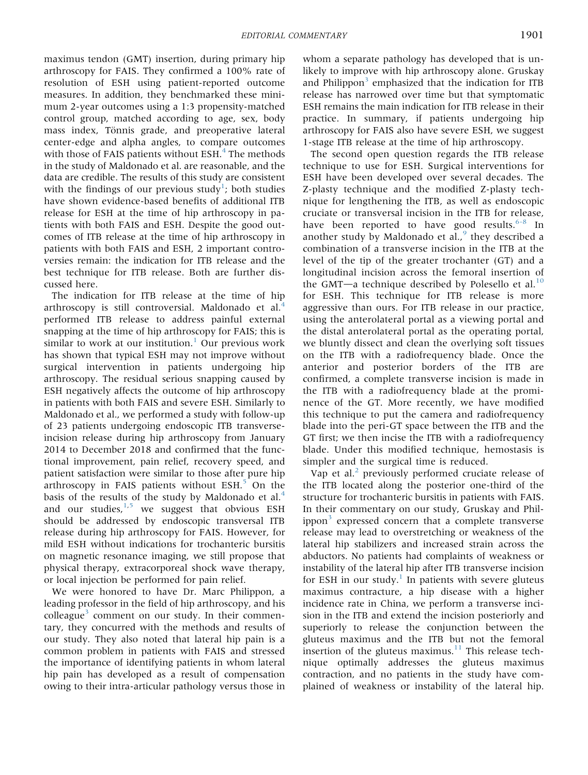maximus tendon (GMT) insertion, during primary hip arthroscopy for FAIS. They confirmed a 100% rate of resolution of ESH using patient-reported outcome measures. In addition, they benchmarked these minimum 2-year outcomes using a 1:3 propensity-matched control group, matched according to age, sex, body mass index, Tönnis grade, and preoperative lateral center-edge and alpha angles, to compare outcomes with those of FAIS patients without  $ESH<sup>4</sup>$  $ESH<sup>4</sup>$  $ESH<sup>4</sup>$ . The methods in the study of Maldonado et al. are reasonable, and the data are credible. The results of this study are consistent with the findings of our previous study<sup>[1](#page-2-0)</sup>; both studies have shown evidence-based benefits of additional ITB release for ESH at the time of hip arthroscopy in patients with both FAIS and ESH. Despite the good outcomes of ITB release at the time of hip arthroscopy in patients with both FAIS and ESH, 2 important controversies remain: the indication for ITB release and the best technique for ITB release. Both are further discussed here.

The indication for ITB release at the time of hip arthroscopy is still controversial. Maldonado et al.<sup>[4](#page-2-1)</sup> performed ITB release to address painful external snapping at the time of hip arthroscopy for FAIS; this is similar to work at our institution.<sup>[1](#page-2-0)</sup> Our previous work has shown that typical ESH may not improve without surgical intervention in patients undergoing hip arthroscopy. The residual serious snapping caused by ESH negatively affects the outcome of hip arthroscopy in patients with both FAIS and severe ESH. Similarly to Maldonado et al., we performed a study with follow-up of 23 patients undergoing endoscopic ITB transverseincision release during hip arthroscopy from January 2014 to December 2018 and confirmed that the functional improvement, pain relief, recovery speed, and patient satisfaction were similar to those after pure hip arthroscopy in FAIS patients without  $ESH<sub>5</sub>$  $ESH<sub>5</sub>$  $ESH<sub>5</sub>$  On the basis of the results of the study by Maldonado et al. $4$ and our studies, $1,5$  $1,5$  we suggest that obvious ESH should be addressed by endoscopic transversal ITB release during hip arthroscopy for FAIS. However, for mild ESH without indications for trochanteric bursitis on magnetic resonance imaging, we still propose that physical therapy, extracorporeal shock wave therapy, or local injection be performed for pain relief.

We were honored to have Dr. Marc Philippon, a leading professor in the field of hip arthroscopy, and his colleague $3$  comment on our study. In their commentary, they concurred with the methods and results of our study. They also noted that lateral hip pain is a common problem in patients with FAIS and stressed the importance of identifying patients in whom lateral hip pain has developed as a result of compensation owing to their intra-articular pathology versus those in

whom a separate pathology has developed that is unlikely to improve with hip arthroscopy alone. Gruskay and Philippon<sup>[3](#page-2-3)</sup> emphasized that the indication for ITB release has narrowed over time but that symptomatic ESH remains the main indication for ITB release in their practice. In summary, if patients undergoing hip arthroscopy for FAIS also have severe ESH, we suggest 1-stage ITB release at the time of hip arthroscopy.

The second open question regards the ITB release technique to use for ESH. Surgical interventions for ESH have been developed over several decades. The Z-plasty technique and the modified Z-plasty technique for lengthening the ITB, as well as endoscopic cruciate or transversal incision in the ITB for release, have been reported to have good results.<sup>[6-8](#page-2-4)</sup> In another study by Maldonado et al., $9$  they described a combination of a transverse incision in the ITB at the level of the tip of the greater trochanter (GT) and a longitudinal incision across the femoral insertion of the GMT $-a$  technique described by Polesello et al.<sup>[10](#page-3-0)</sup> for ESH. This technique for ITB release is more aggressive than ours. For ITB release in our practice, using the anterolateral portal as a viewing portal and the distal anterolateral portal as the operating portal, we bluntly dissect and clean the overlying soft tissues on the ITB with a radiofrequency blade. Once the anterior and posterior borders of the ITB are confirmed, a complete transverse incision is made in the ITB with a radiofrequency blade at the prominence of the GT. More recently, we have modified this technique to put the camera and radiofrequency blade into the peri-GT space between the ITB and the GT first; we then incise the ITB with a radiofrequency blade. Under this modified technique, hemostasis is simpler and the surgical time is reduced.

Vap et al. $<sup>2</sup>$  $<sup>2</sup>$  $<sup>2</sup>$  previously performed cruciate release of</sup> the ITB located along the posterior one-third of the structure for trochanteric bursitis in patients with FAIS. In their commentary on our study, Gruskay and Philippon $3$  expressed concern that a complete transverse release may lead to overstretching or weakness of the lateral hip stabilizers and increased strain across the abductors. No patients had complaints of weakness or instability of the lateral hip after ITB transverse incision for ESH in our study.<sup>[1](#page-2-6)</sup> In patients with severe gluteus maximus contracture, a hip disease with a higher incidence rate in China, we perform a transverse incision in the ITB and extend the incision posteriorly and superiorly to release the conjunction between the gluteus maximus and the ITB but not the femoral insertion of the gluteus maximus. $11$  This release technique optimally addresses the gluteus maximus contraction, and no patients in the study have complained of weakness or instability of the lateral hip.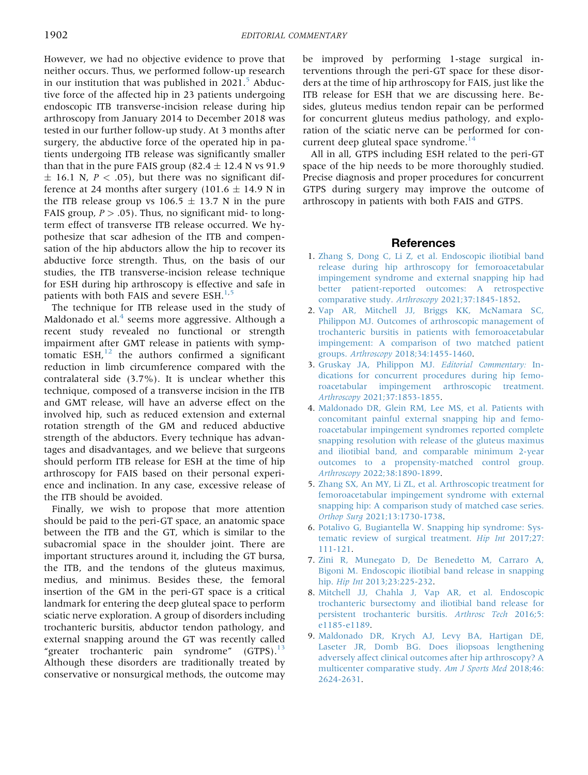However, we had no objective evidence to prove that neither occurs. Thus, we performed follow-up research in our institution that was published in 2021.<sup>[5](#page-2-2)</sup> Abductive force of the affected hip in 23 patients undergoing endoscopic ITB transverse-incision release during hip arthroscopy from January 2014 to December 2018 was tested in our further follow-up study. At 3 months after surgery, the abductive force of the operated hip in patients undergoing ITB release was significantly smaller than that in the pure FAIS group  $(82.4 \pm 12.4 \text{ N vs } 91.9)$  $\pm$  16.1 N, P < .05), but there was no significant difference at 24 months after surgery (101.6  $\pm$  14.9 N in the ITB release group vs 106.5  $\pm$  13.7 N in the pure FAIS group,  $P > .05$ ). Thus, no significant mid- to longterm effect of transverse ITB release occurred. We hypothesize that scar adhesion of the ITB and compensation of the hip abductors allow the hip to recover its abductive force strength. Thus, on the basis of our studies, the ITB transverse-incision release technique for ESH during hip arthroscopy is effective and safe in patients with both FAIS and severe  $ESH<sub>1,5</sub>$  $ESH<sub>1,5</sub>$  $ESH<sub>1,5</sub>$  $ESH<sub>1,5</sub>$ 

The technique for ITB release used in the study of Maldonado et al. $4$  seems more aggressive. Although a recent study revealed no functional or strength impairment after GMT release in patients with symptomatic  $ESH<sub>12</sub>$  $ESH<sub>12</sub>$  $ESH<sub>12</sub>$  the authors confirmed a significant reduction in limb circumference compared with the contralateral side (3.7%). It is unclear whether this technique, composed of a transverse incision in the ITB and GMT release, will have an adverse effect on the involved hip, such as reduced extension and external rotation strength of the GM and reduced abductive strength of the abductors. Every technique has advantages and disadvantages, and we believe that surgeons should perform ITB release for ESH at the time of hip arthroscopy for FAIS based on their personal experience and inclination. In any case, excessive release of the ITB should be avoided.

Finally, we wish to propose that more attention should be paid to the peri-GT space, an anatomic space between the ITB and the GT, which is similar to the subacromial space in the shoulder joint. There are important structures around it, including the GT bursa, the ITB, and the tendons of the gluteus maximus, medius, and minimus. Besides these, the femoral insertion of the GM in the peri-GT space is a critical landmark for entering the deep gluteal space to perform sciatic nerve exploration. A group of disorders including trochanteric bursitis, abductor tendon pathology, and external snapping around the GT was recently called "greater trochanteric pain syndrome"  $(GTPS).$ <sup>[13](#page-3-3)</sup> Although these disorders are traditionally treated by conservative or nonsurgical methods, the outcome may be improved by performing 1-stage surgical interventions through the peri-GT space for these disorders at the time of hip arthroscopy for FAIS, just like the ITB release for ESH that we are discussing here. Besides, gluteus medius tendon repair can be performed for concurrent gluteus medius pathology, and exploration of the sciatic nerve can be performed for concurrent deep gluteal space syndrome. $^{14}$ 

All in all, GTPS including ESH related to the peri-GT space of the hip needs to be more thoroughly studied. Precise diagnosis and proper procedures for concurrent GTPS during surgery may improve the outcome of arthroscopy in patients with both FAIS and GTPS.

## **References**

- <span id="page-2-0"></span>1. [Zhang S, Dong C, Li Z, et al. Endoscopic iliotibial band](http://refhub.elsevier.com/S0749-8063(22)00117-7/sref2) [release during hip arthroscopy for femoroacetabular](http://refhub.elsevier.com/S0749-8063(22)00117-7/sref2) [impingement syndrome and external snapping hip had](http://refhub.elsevier.com/S0749-8063(22)00117-7/sref2) [better patient-reported outcomes: A retrospective](http://refhub.elsevier.com/S0749-8063(22)00117-7/sref2) comparative study. Arthroscopy [2021;37:1845-1852](http://refhub.elsevier.com/S0749-8063(22)00117-7/sref2).
- <span id="page-2-6"></span>2. [Vap AR, Mitchell JJ, Briggs KK, McNamara SC,](http://refhub.elsevier.com/S0749-8063(22)00117-7/sref1) [Philippon MJ. Outcomes of arthroscopic management of](http://refhub.elsevier.com/S0749-8063(22)00117-7/sref1) [trochanteric bursitis in patients with femoroacetabular](http://refhub.elsevier.com/S0749-8063(22)00117-7/sref1) [impingement: A comparison of two matched patient](http://refhub.elsevier.com/S0749-8063(22)00117-7/sref1) groups. Arthroscopy [2018;34:1455-1460.](http://refhub.elsevier.com/S0749-8063(22)00117-7/sref1)
- <span id="page-2-3"></span>3. [Gruskay JA, Philippon MJ.](http://refhub.elsevier.com/S0749-8063(22)00117-7/sref3) Editorial Commentary: In[dications for concurrent procedures during hip femo](http://refhub.elsevier.com/S0749-8063(22)00117-7/sref3)[roacetabular impingement arthroscopic treatment.](http://refhub.elsevier.com/S0749-8063(22)00117-7/sref3) Arthroscopy [2021;37:1853-1855.](http://refhub.elsevier.com/S0749-8063(22)00117-7/sref3)
- <span id="page-2-1"></span>4. [Maldonado DR, Glein RM, Lee MS, et al. Patients with](http://refhub.elsevier.com/S0749-8063(22)00117-7/sref4) [concomitant painful external snapping hip and femo](http://refhub.elsevier.com/S0749-8063(22)00117-7/sref4)[roacetabular impingement syndromes reported complete](http://refhub.elsevier.com/S0749-8063(22)00117-7/sref4) [snapping resolution with release of the gluteus maximus](http://refhub.elsevier.com/S0749-8063(22)00117-7/sref4) [and iliotibial band, and comparable minimum 2-year](http://refhub.elsevier.com/S0749-8063(22)00117-7/sref4) [outcomes to a propensity-matched control group.](http://refhub.elsevier.com/S0749-8063(22)00117-7/sref4) Arthroscopy [2022;38:1890-1899.](http://refhub.elsevier.com/S0749-8063(22)00117-7/sref4)
- <span id="page-2-2"></span>5. [Zhang SX, An MY, Li ZL, et al. Arthroscopic treatment for](http://refhub.elsevier.com/S0749-8063(22)00117-7/sref5) [femoroacetabular impingement syndrome with external](http://refhub.elsevier.com/S0749-8063(22)00117-7/sref5) [snapping hip: A comparison study of matched case series.](http://refhub.elsevier.com/S0749-8063(22)00117-7/sref5) Orthop Surg [2021;13:1730-1738](http://refhub.elsevier.com/S0749-8063(22)00117-7/sref5).
- <span id="page-2-4"></span>6. [Potalivo G, Bugiantella W. Snapping hip syndrome: Sys](http://refhub.elsevier.com/S0749-8063(22)00117-7/sref6)[tematic review of surgical treatment.](http://refhub.elsevier.com/S0749-8063(22)00117-7/sref6) Hip Int 2017;27: [111-121.](http://refhub.elsevier.com/S0749-8063(22)00117-7/sref6)
- 7. [Zini R, Munegato D, De Benedetto M, Carraro A,](http://refhub.elsevier.com/S0749-8063(22)00117-7/sref7) [Bigoni M. Endoscopic iliotibial band release in snapping](http://refhub.elsevier.com/S0749-8063(22)00117-7/sref7) hip. Hip Int [2013;23:225-232](http://refhub.elsevier.com/S0749-8063(22)00117-7/sref7).
- 8. [Mitchell JJ, Chahla J, Vap AR, et al. Endoscopic](http://refhub.elsevier.com/S0749-8063(22)00117-7/sref8) [trochanteric bursectomy and iliotibial band release for](http://refhub.elsevier.com/S0749-8063(22)00117-7/sref8) [persistent trochanteric bursitis.](http://refhub.elsevier.com/S0749-8063(22)00117-7/sref8) Arthrosc Tech 2016;5: [e1185-e1189.](http://refhub.elsevier.com/S0749-8063(22)00117-7/sref8)
- <span id="page-2-5"></span>9. [Maldonado DR, Krych AJ, Levy BA, Hartigan DE,](http://refhub.elsevier.com/S0749-8063(22)00117-7/sref9) [Laseter JR, Domb BG. Does iliopsoas lengthening](http://refhub.elsevier.com/S0749-8063(22)00117-7/sref9) [adversely affect clinical outcomes after hip arthroscopy? A](http://refhub.elsevier.com/S0749-8063(22)00117-7/sref9) [multicenter comparative study.](http://refhub.elsevier.com/S0749-8063(22)00117-7/sref9) Am J Sports Med 2018;46: [2624-2631.](http://refhub.elsevier.com/S0749-8063(22)00117-7/sref9)